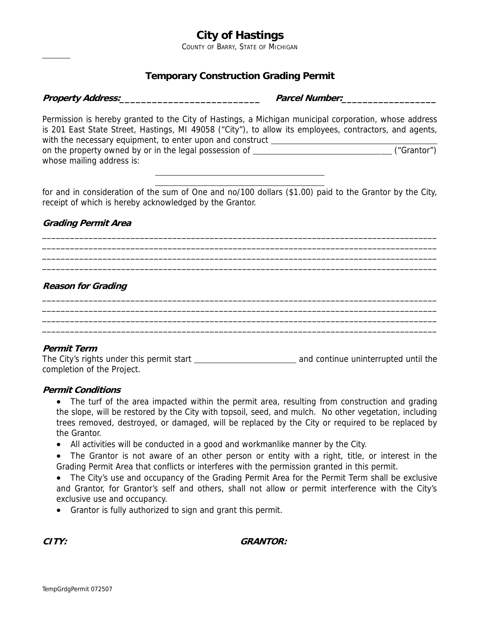# **City of Hastings**

COUNTY OF BARRY, STATE OF MICHIGAN

# **Temporary Construction Grading Permit**

| Property Address: |  |  |
|-------------------|--|--|
|                   |  |  |

 $\overline{a}$ 

**Property Address:\_\_\_\_\_\_\_\_\_\_\_\_\_\_\_\_\_\_\_\_\_\_\_\_\_\_ Parcel Number:\_\_\_\_\_\_\_\_\_\_\_\_\_\_\_\_\_\_**

Permission is hereby granted to the City of Hastings, a Michigan municipal corporation, whose address is 201 East State Street, Hastings, MI 49058 ("City"), to allow its employees, contractors, and agents, with the necessary equipment, to enter upon and construct \_\_\_\_\_\_\_\_\_\_\_\_\_\_\_\_\_\_\_\_\_\_ on the property owned by or in the legal possession of ("Grantor") whose mailing address is:  $\overline{a}$ 

for and in consideration of the sum of One and no/100 dollars (\$1.00) paid to the Grantor by the City, receipt of which is hereby acknowledged by the Grantor.

\_\_\_\_\_\_\_\_\_\_\_\_\_\_\_\_\_\_\_\_\_\_\_\_\_\_\_\_\_\_\_\_\_\_\_\_\_\_\_\_\_\_\_\_\_\_\_\_\_\_\_\_\_\_\_\_\_\_\_\_\_\_\_\_\_\_\_\_\_\_\_\_\_\_\_\_\_\_\_\_\_\_\_\_\_ \_\_\_\_\_\_\_\_\_\_\_\_\_\_\_\_\_\_\_\_\_\_\_\_\_\_\_\_\_\_\_\_\_\_\_\_\_\_\_\_\_\_\_\_\_\_\_\_\_\_\_\_\_\_\_\_\_\_\_\_\_\_\_\_\_\_\_\_\_\_\_\_\_\_\_\_\_\_\_\_\_\_\_\_\_ \_\_\_\_\_\_\_\_\_\_\_\_\_\_\_\_\_\_\_\_\_\_\_\_\_\_\_\_\_\_\_\_\_\_\_\_\_\_\_\_\_\_\_\_\_\_\_\_\_\_\_\_\_\_\_\_\_\_\_\_\_\_\_\_\_\_\_\_\_\_\_\_\_\_\_\_\_\_\_\_\_\_\_\_\_ \_\_\_\_\_\_\_\_\_\_\_\_\_\_\_\_\_\_\_\_\_\_\_\_\_\_\_\_\_\_\_\_\_\_\_\_\_\_\_\_\_\_\_\_\_\_\_\_\_\_\_\_\_\_\_\_\_\_\_\_\_\_\_\_\_\_\_\_\_\_\_\_\_\_\_\_\_\_\_\_\_\_\_\_\_

\_\_\_\_\_\_\_\_\_\_\_\_\_\_\_\_\_\_\_\_\_\_\_\_\_\_\_\_\_\_\_\_\_\_\_\_\_\_\_\_\_\_\_\_\_\_\_\_\_\_\_\_\_\_\_\_\_\_\_\_\_\_\_\_\_\_\_\_\_\_\_\_\_\_\_\_\_\_\_\_\_\_\_\_\_ \_\_\_\_\_\_\_\_\_\_\_\_\_\_\_\_\_\_\_\_\_\_\_\_\_\_\_\_\_\_\_\_\_\_\_\_\_\_\_\_\_\_\_\_\_\_\_\_\_\_\_\_\_\_\_\_\_\_\_\_\_\_\_\_\_\_\_\_\_\_\_\_\_\_\_\_\_\_\_\_\_\_\_\_\_ \_\_\_\_\_\_\_\_\_\_\_\_\_\_\_\_\_\_\_\_\_\_\_\_\_\_\_\_\_\_\_\_\_\_\_\_\_\_\_\_\_\_\_\_\_\_\_\_\_\_\_\_\_\_\_\_\_\_\_\_\_\_\_\_\_\_\_\_\_\_\_\_\_\_\_\_\_\_\_\_\_\_\_\_\_ \_\_\_\_\_\_\_\_\_\_\_\_\_\_\_\_\_\_\_\_\_\_\_\_\_\_\_\_\_\_\_\_\_\_\_\_\_\_\_\_\_\_\_\_\_\_\_\_\_\_\_\_\_\_\_\_\_\_\_\_\_\_\_\_\_\_\_\_\_\_\_\_\_\_\_\_\_\_\_\_\_\_\_\_\_

# **Grading Permit Area**

 $\overline{a}$ 

## **Reason for Grading**

### **Permit Term**

The City's rights under this permit start and continue uninterrupted until the completion of the Project.

### **Permit Conditions**

- The turf of the area impacted within the permit area, resulting from construction and grading the slope, will be restored by the City with topsoil, seed, and mulch. No other vegetation, including trees removed, destroyed, or damaged, will be replaced by the City or required to be replaced by the Grantor.
- All activities will be conducted in a good and workmanlike manner by the City.
- The Grantor is not aware of an other person or entity with a right, title, or interest in the Grading Permit Area that conflicts or interferes with the permission granted in this permit.
- The City's use and occupancy of the Grading Permit Area for the Permit Term shall be exclusive and Grantor, for Grantor's self and others, shall not allow or permit interference with the City's exclusive use and occupancy.
- Grantor is fully authorized to sign and grant this permit.

### **CITY: GRANTOR:**